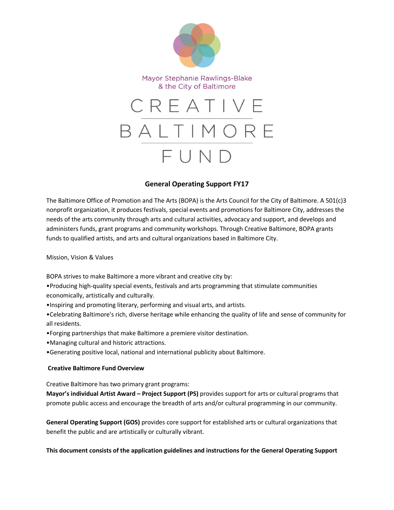

# **General Operating Support FY17**

The Baltimore Office of Promotion and The Arts (BOPA) is the Arts Council for the City of Baltimore. A 501(c)3 nonprofit organization, it produces festivals, special events and promotions for Baltimore City, addresses the needs of the arts community through arts and cultural activities, advocacy and support, and develops and administers funds, grant programs and community workshops. Through Creative Baltimore, BOPA grants funds to qualified artists, and arts and cultural organizations based in Baltimore City.

Mission, Vision & Values

BOPA strives to make Baltimore a more vibrant and creative city by:

•Producing high-quality special events, festivals and arts programming that stimulate communities economically, artistically and culturally.

•Inspiring and promoting literary, performing and visual arts, and artists.

•Celebrating Baltimore's rich, diverse heritage while enhancing the quality of life and sense of community for all residents.

- •Forging partnerships that make Baltimore a premiere visitor destination.
- •Managing cultural and historic attractions.
- •Generating positive local, national and international publicity about Baltimore.

# **Creative Baltimore Fund Overview**

Creative Baltimore has two primary grant programs:

**Mayor's individual Artist Award – Project Support (PS)** provides support for arts or cultural programs that promote public access and encourage the breadth of arts and/or cultural programming in our community.

**General Operating Support (GOS)** provides core support for established arts or cultural organizations that benefit the public and are artistically or culturally vibrant.

**This document consists of the application guidelines and instructions for the General Operating Support**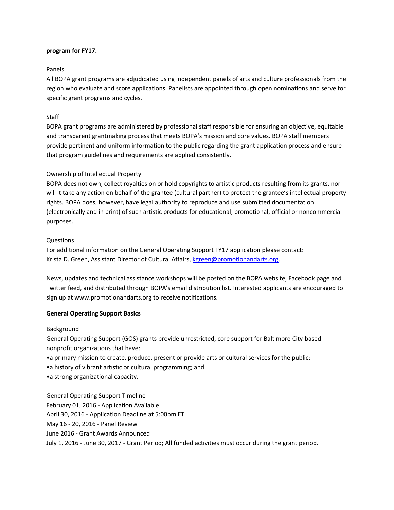#### **program for FY17.**

### Panels

All BOPA grant programs are adjudicated using independent panels of arts and culture professionals from the region who evaluate and score applications. Panelists are appointed through open nominations and serve for specific grant programs and cycles.

# Staff

BOPA grant programs are administered by professional staff responsible for ensuring an objective, equitable and transparent grantmaking process that meets BOPA's mission and core values. BOPA staff members provide pertinent and uniform information to the public regarding the grant application process and ensure that program guidelines and requirements are applied consistently.

### Ownership of Intellectual Property

BOPA does not own, collect royalties on or hold copyrights to artistic products resulting from its grants, nor will it take any action on behalf of the grantee (cultural partner) to protect the grantee's intellectual property rights. BOPA does, however, have legal authority to reproduce and use submitted documentation (electronically and in print) of such artistic products for educational, promotional, official or noncommercial purposes.

### **Questions**

For additional information on the General Operating Support FY17 application please contact: Krista D. Green, Assistant Director of Cultural Affairs, [kgreen@promotionandarts.org.](mailto:kgreen@promotionandarts.org)

News, updates and technical assistance workshops will be posted on the BOPA website, Facebook page and Twitter feed, and distributed through BOPA's email distribution list. Interested applicants are encouraged to sign up at www.promotionandarts.org to receive notifications.

#### **General Operating Support Basics**

#### Background

General Operating Support (GOS) grants provide unrestricted, core support for Baltimore City-based nonprofit organizations that have:

•a primary mission to create, produce, present or provide arts or cultural services for the public;

•a history of vibrant artistic or cultural programming; and

•a strong organizational capacity.

General Operating Support Timeline February 01, 2016 - Application Available April 30, 2016 - Application Deadline at 5:00pm ET May 16 - 20, 2016 - Panel Review June 2016 - Grant Awards Announced July 1, 2016 - June 30, 2017 - Grant Period; All funded activities must occur during the grant period.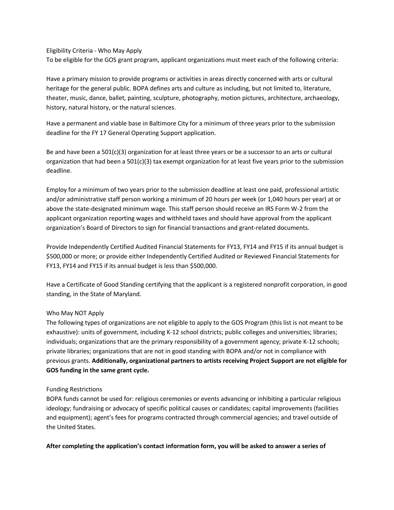Eligibility Criteria - Who May Apply

To be eligible for the GOS grant program, applicant organizations must meet each of the following criteria:

Have a primary mission to provide programs or activities in areas directly concerned with arts or cultural heritage for the general public. BOPA defines arts and culture as including, but not limited to, literature, theater, music, dance, ballet, painting, sculpture, photography, motion pictures, architecture, archaeology, history, natural history, or the natural sciences.

Have a permanent and viable base in Baltimore City for a minimum of three years prior to the submission deadline for the FY 17 General Operating Support application.

Be and have been a 501(c)(3) organization for at least three years or be a successor to an arts or cultural organization that had been a 501(c)(3) tax exempt organization for at least five years prior to the submission deadline.

Employ for a minimum of two years prior to the submission deadline at least one paid, professional artistic and/or administrative staff person working a minimum of 20 hours per week (or 1,040 hours per year) at or above the state-designated minimum wage. This staff person should receive an IRS Form W-2 from the applicant organization reporting wages and withheld taxes and should have approval from the applicant organization's Board of Directors to sign for financial transactions and grant-related documents.

Provide Independently Certified Audited Financial Statements for FY13, FY14 and FY15 if its annual budget is \$500,000 or more; or provide either Independently Certified Audited or Reviewed Financial Statements for FY13, FY14 and FY15 if its annual budget is less than \$500,000.

Have a Certificate of Good Standing certifying that the applicant is a registered nonprofit corporation, in good standing, in the State of Maryland.

# Who May NOT Apply

The following types of organizations are not eligible to apply to the GOS Program (this list is not meant to be exhaustive): units of government, including K‐12 school districts; public colleges and universities; libraries; individuals; organizations that are the primary responsibility of a government agency; private K‐12 schools; private libraries; organizations that are not in good standing with BOPA and/or not in compliance with previous grants. **Additionally, organizational partners to artists receiving Project Support are not eligible for GOS funding in the same grant cycle.**

# Funding Restrictions

BOPA funds cannot be used for: religious ceremonies or events advancing or inhibiting a particular religious ideology; fundraising or advocacy of specific political causes or candidates; capital improvements (facilities and equipment); agent's fees for programs contracted through commercial agencies; and travel outside of the United States.

**After completing the application's contact information form, you will be asked to answer a series of**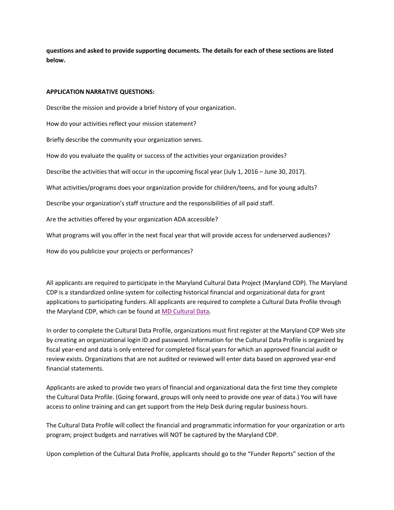**questions and asked to provide supporting documents. The details for each of these sections are listed below.**

#### **APPLICATION NARRATIVE QUESTIONS:**

Describe the mission and provide a brief history of your organization.

How do your activities reflect your mission statement?

Briefly describe the community your organization serves.

How do you evaluate the quality or success of the activities your organization provides?

Describe the activities that will occur in the upcoming fiscal year (July 1, 2016 – June 30, 2017).

What activities/programs does your organization provide for children/teens, and for young adults?

Describe your organization's staff structure and the responsibilities of all paid staff.

Are the activities offered by your organization ADA accessible?

What programs will you offer in the next fiscal year that will provide access for underserved audiences?

How do you publicize your projects or performances?

All applicants are required to participate in the Maryland Cultural Data Project (Maryland CDP). The Maryland CDP is a standardized online system for collecting historical financial and organizational data for grant applications to participating funders. All applicants are required to complete a Cultural Data Profile through the Maryland CDP, which can be found at [MD Cultural Data.](http://www.mdculturaldata.org/)

In order to complete the Cultural Data Profile, organizations must first register at the Maryland CDP Web site by creating an organizational login ID and password. Information for the Cultural Data Profile is organized by fiscal year-end and data is only entered for completed fiscal years for which an approved financial audit or review exists. Organizations that are not audited or reviewed will enter data based on approved year-end financial statements.

Applicants are asked to provide two years of financial and organizational data the first time they complete the Cultural Data Profile. (Going forward, groups will only need to provide one year of data.) You will have access to online training and can get support from the Help Desk during regular business hours.

The Cultural Data Profile will collect the financial and programmatic information for your organization or arts program; project budgets and narratives will NOT be captured by the Maryland CDP.

Upon completion of the Cultural Data Profile, applicants should go to the "Funder Reports" section of the